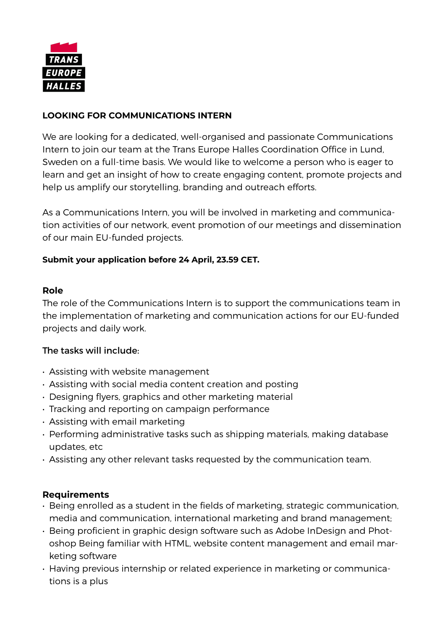

# **LOOKING FOR COMMUNICATIONS INTERN**

We are looking for a dedicated, well-organised and passionate Communications Intern to join our team at the Trans Europe Halles Coordination Office in Lund, Sweden on a full-time basis. We would like to welcome a person who is eager to learn and get an insight of how to create engaging content, promote projects and help us amplify our storytelling, branding and outreach efforts.

As a Communications Intern, you will be involved in marketing and communication activities of our network, event promotion of our meetings and dissemination of our main EU-funded projects.

## **Submit your application before 24 April, 23.59 CET.**

### **Role**

The role of the Communications Intern is to support the communications team in the implementation of marketing and communication actions for our EU-funded projects and daily work.

## The tasks will include:

- Assisting with website management
- Assisting with social media content creation and posting
- Designing flyers, graphics and other marketing material
- Tracking and reporting on campaign performance
- Assisting with email marketing
- Performing administrative tasks such as shipping materials, making database updates, etc
- Assisting any other relevant tasks requested by the communication team.

## **Requirements**

- Being enrolled as a student in the fields of marketing, strategic communication, media and communication, international marketing and brand management;
- Being proficient in graphic design software such as Adobe InDesign and Photoshop Being familiar with HTML, website content management and email marketing software
- Having previous internship or related experience in marketing or communications is a plus